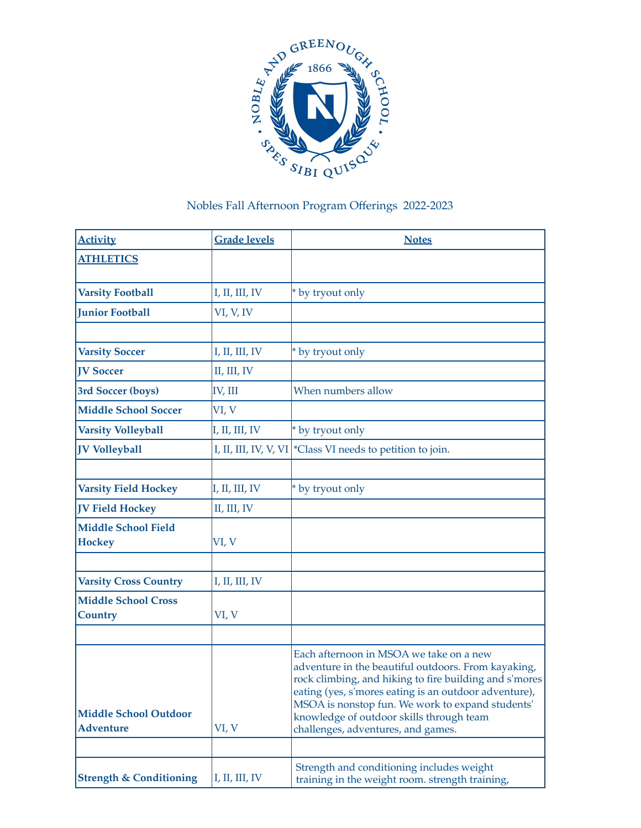

## Nobles Fall Afternoon Program Offerings 2022-2023

| <b>Activity</b>                                  | <b>Grade levels</b> | <b>Notes</b>                                                                                                                                                                                                                                                                                                                                            |
|--------------------------------------------------|---------------------|---------------------------------------------------------------------------------------------------------------------------------------------------------------------------------------------------------------------------------------------------------------------------------------------------------------------------------------------------------|
| <b>ATHLETICS</b>                                 |                     |                                                                                                                                                                                                                                                                                                                                                         |
| <b>Varsity Football</b>                          | I, II, III, IV      | * by tryout only                                                                                                                                                                                                                                                                                                                                        |
| <b>Junior Football</b>                           | VI, V, IV           |                                                                                                                                                                                                                                                                                                                                                         |
|                                                  |                     |                                                                                                                                                                                                                                                                                                                                                         |
| <b>Varsity Soccer</b>                            | I, II, III, IV      | * by tryout only                                                                                                                                                                                                                                                                                                                                        |
| <b>IV Soccer</b>                                 | II, III, IV         |                                                                                                                                                                                                                                                                                                                                                         |
| 3rd Soccer (boys)                                | IV, III             | When numbers allow                                                                                                                                                                                                                                                                                                                                      |
| <b>Middle School Soccer</b>                      | VI, V               |                                                                                                                                                                                                                                                                                                                                                         |
| <b>Varsity Volleyball</b>                        | I, II, III, IV      | * by tryout only                                                                                                                                                                                                                                                                                                                                        |
| <b>JV Volleyball</b>                             |                     | I, II, III, IV, V, VI   * Class VI needs to petition to join.                                                                                                                                                                                                                                                                                           |
|                                                  |                     |                                                                                                                                                                                                                                                                                                                                                         |
| <b>Varsity Field Hockey</b>                      | I, II, III, IV      | * by tryout only                                                                                                                                                                                                                                                                                                                                        |
| <b>JV Field Hockey</b>                           | II, III, IV         |                                                                                                                                                                                                                                                                                                                                                         |
| <b>Middle School Field</b><br><b>Hockey</b>      | VI, V               |                                                                                                                                                                                                                                                                                                                                                         |
|                                                  |                     |                                                                                                                                                                                                                                                                                                                                                         |
| <b>Varsity Cross Country</b>                     | I, II, III, IV      |                                                                                                                                                                                                                                                                                                                                                         |
| <b>Middle School Cross</b><br><b>Country</b>     | VI, V               |                                                                                                                                                                                                                                                                                                                                                         |
|                                                  |                     |                                                                                                                                                                                                                                                                                                                                                         |
| <b>Middle School Outdoor</b><br><b>Adventure</b> | VI, V               | Each afternoon in MSOA we take on a new<br>adventure in the beautiful outdoors. From kayaking,<br>rock climbing, and hiking to fire building and s'mores<br>eating (yes, s'mores eating is an outdoor adventure),<br>MSOA is nonstop fun. We work to expand students'<br>knowledge of outdoor skills through team<br>challenges, adventures, and games. |
|                                                  |                     |                                                                                                                                                                                                                                                                                                                                                         |
| <b>Strength &amp; Conditioning</b>               | I, II, III, IV      | Strength and conditioning includes weight<br>training in the weight room. strength training,                                                                                                                                                                                                                                                            |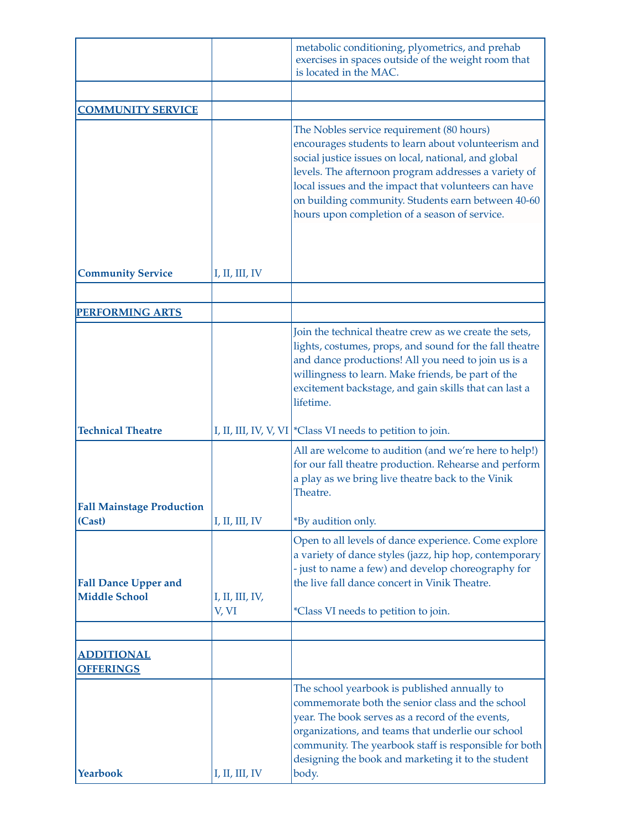|                                                     |                          | metabolic conditioning, plyometrics, and prehab<br>exercises in spaces outside of the weight room that<br>is located in the MAC.                                                                                                                                                                                                                                                |
|-----------------------------------------------------|--------------------------|---------------------------------------------------------------------------------------------------------------------------------------------------------------------------------------------------------------------------------------------------------------------------------------------------------------------------------------------------------------------------------|
|                                                     |                          |                                                                                                                                                                                                                                                                                                                                                                                 |
| <b>COMMUNITY SERVICE</b>                            |                          |                                                                                                                                                                                                                                                                                                                                                                                 |
|                                                     |                          | The Nobles service requirement (80 hours)<br>encourages students to learn about volunteerism and<br>social justice issues on local, national, and global<br>levels. The afternoon program addresses a variety of<br>local issues and the impact that volunteers can have<br>on building community. Students earn between 40-60<br>hours upon completion of a season of service. |
| <b>Community Service</b>                            | I, II, III, IV           |                                                                                                                                                                                                                                                                                                                                                                                 |
|                                                     |                          |                                                                                                                                                                                                                                                                                                                                                                                 |
| <b>PERFORMING ARTS</b>                              |                          |                                                                                                                                                                                                                                                                                                                                                                                 |
|                                                     |                          | Join the technical theatre crew as we create the sets,<br>lights, costumes, props, and sound for the fall theatre<br>and dance productions! All you need to join us is a<br>willingness to learn. Make friends, be part of the<br>excitement backstage, and gain skills that can last a<br>lifetime.                                                                            |
| <b>Technical Theatre</b>                            |                          | I, II, III, IV, V, VI   * Class VI needs to petition to join.                                                                                                                                                                                                                                                                                                                   |
| <b>Fall Mainstage Production</b>                    |                          | All are welcome to audition (and we're here to help!)<br>for our fall theatre production. Rehearse and perform<br>a play as we bring live theatre back to the Vinik<br>Theatre.                                                                                                                                                                                                 |
| (Cast)                                              | I, II, III, IV           | *By audition only.                                                                                                                                                                                                                                                                                                                                                              |
| <b>Fall Dance Upper and</b><br><b>Middle School</b> | I, II, III, IV,<br>V, VI | Open to all levels of dance experience. Come explore<br>a variety of dance styles (jazz, hip hop, contemporary<br>- just to name a few) and develop choreography for<br>the live fall dance concert in Vinik Theatre.<br><i>*Class VI</i> needs to petition to join.                                                                                                            |
|                                                     |                          |                                                                                                                                                                                                                                                                                                                                                                                 |
| <b>ADDITIONAL</b><br><b>OFFERINGS</b>               |                          |                                                                                                                                                                                                                                                                                                                                                                                 |
| Yearbook                                            | I, II, III, IV           | The school yearbook is published annually to<br>commemorate both the senior class and the school<br>year. The book serves as a record of the events,<br>organizations, and teams that underlie our school<br>community. The yearbook staff is responsible for both<br>designing the book and marketing it to the student<br>body.                                               |